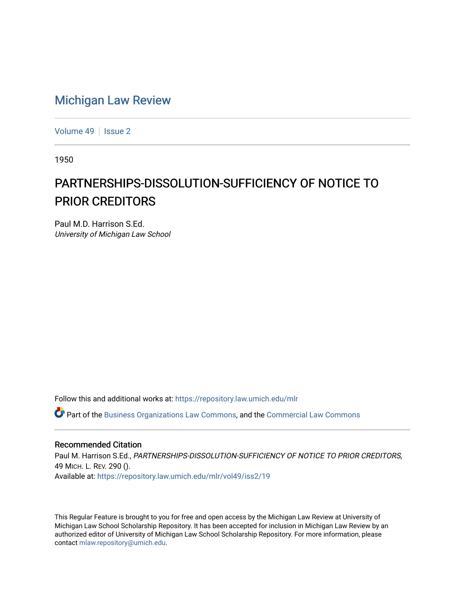## [Michigan Law Review](https://repository.law.umich.edu/mlr)

[Volume 49](https://repository.law.umich.edu/mlr/vol49) | [Issue 2](https://repository.law.umich.edu/mlr/vol49/iss2)

1950

## PARTNERSHIPS-DISSOLUTION-SUFFICIENCY OF NOTICE TO PRIOR CREDITORS

Paul M.D. Harrison S.Ed. University of Michigan Law School

Follow this and additional works at: [https://repository.law.umich.edu/mlr](https://repository.law.umich.edu/mlr?utm_source=repository.law.umich.edu%2Fmlr%2Fvol49%2Fiss2%2F19&utm_medium=PDF&utm_campaign=PDFCoverPages) 

 $\bullet$  Part of the [Business Organizations Law Commons](http://network.bepress.com/hgg/discipline/900?utm_source=repository.law.umich.edu%2Fmlr%2Fvol49%2Fiss2%2F19&utm_medium=PDF&utm_campaign=PDFCoverPages), and the Commercial Law Commons

## Recommended Citation

Paul M. Harrison S.Ed., PARTNERSHIPS-DISSOLUTION-SUFFICIENCY OF NOTICE TO PRIOR CREDITORS, 49 MICH. L. REV. 290 (). Available at: [https://repository.law.umich.edu/mlr/vol49/iss2/19](https://repository.law.umich.edu/mlr/vol49/iss2/19?utm_source=repository.law.umich.edu%2Fmlr%2Fvol49%2Fiss2%2F19&utm_medium=PDF&utm_campaign=PDFCoverPages) 

This Regular Feature is brought to you for free and open access by the Michigan Law Review at University of Michigan Law School Scholarship Repository. It has been accepted for inclusion in Michigan Law Review by an authorized editor of University of Michigan Law School Scholarship Repository. For more information, please contact [mlaw.repository@umich.edu](mailto:mlaw.repository@umich.edu).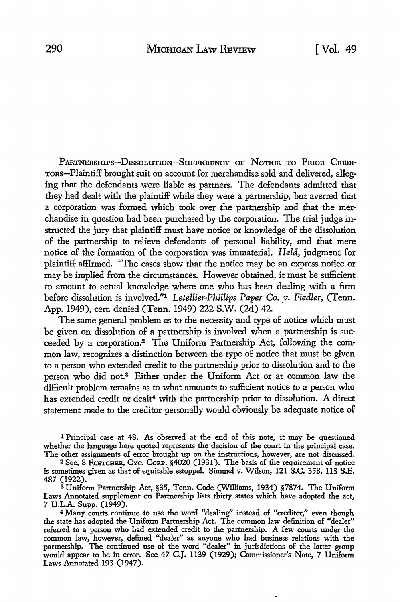PARTNERSHIPS--DISSOLUTION-SUFFICIENCY OF NOTICE TO PRIOR CREDI-ToRs-Plaintiff brought suit on account for merchandise sold and delivered, alleging that the defendants were liable as partners. The defendants admitted that they had dealt with the plaintiff while they were a partnership, but averred that a corporation was formed which took over the partnership and that the merchandise in question had been purchased by the corporation. The trial judge instructed the jury that plaintiff must have notice or knowledge of the dissolution of the partnership to relieve defendants of personal liability, and that mere notice of the formation of the corporation was immaterial. *Held,* judgment for plaintiff affirmed. 'The cases show that the notice may be an express notice or may be implied from the circumstances. However obtained, it must be sufficient to amount to actual knowledge where one who has been dealing with a firm before dissolution is involved."1 *Letellier-Phillips Paper Co.* v. *Fiedler,* (Tenn. App. 1949), cert. denied (Tenn. 1949) 222 S.W. (2d) 42.

The same general problem as to the necessity and type of notice which must be given on dissolution of a partnership is involved when a partnership is succeeded by a corporation.2 The Uniform Partnership Act, following the common law, recognizes a distinction between the type of notice that must be given to a person who extended credit to the partnership prior to dissolution and to the person who did not.<sup>3</sup> Either under the Uniform Act or at common law the difficult problem remains as to what amounts to sufficient notice to a person who has extended credit or dealt<sup>4</sup> with the partnership prior to dissolution. A direct statement made to the creditor personally would obviously be adequate notice of

1 Principal case at 48. As observed at the end of this note, it may be questioned whether the language here quoted represents the decision of the court in the principal case. The other assignments of error brought up on the instructions, however, are not discussed.

<sup>3</sup>Uniform Partnership Act, §35, Tenn. Code (Williams, 1934) §7874. The Uniform Laws Annotated supplement on Partnership lists thirty states which have adopted the act, 7 U.L.A. Supp. (1949).

4 Many courts continue to use the word "dealing" instead of "creditor," even though the state has adopted the Uniform Partnership Act. The common law definition of "dealer" referred to a person who had extended credit to the partnership. A few courts under the common law, however, defined "dealer" as anyone who had business relations with the partnership. The continued use of the word "dealer" in jurisdictions of the latter group would appear to be in error. See 47 C.J. 1139 (1929); Commissioner's Note, 7 Uniform Laws Annotated 193 (1947).

<sup>2</sup> See, 8 FLETCHER, CYc. CoRP. §4020 (1931). The basis of the requirement of notice is sometimes given as that of equitable estoppel. Simmel v. Wilson, 121 S.C. 358, 113 S.E. 487 (1922).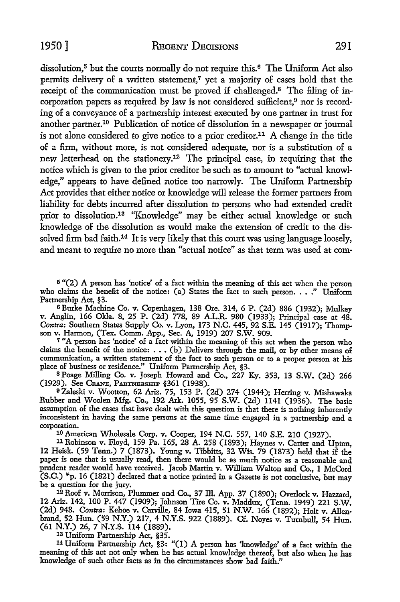dissolution.<sup>5</sup> but the courts normally do not require this.<sup>6</sup> The Uniform Act also permits delivery of a written statement,<sup>7</sup> yet a majority of cases hold that the receipt of the communication must be proved if challenged.8 The filing of **in**corporation papers as required by law is not considered sufficient,<sup>9</sup> nor is recording of a conveyance of a partnership interest executed by one partner in trust for another partner.10 Publication of notice of dissolution in a newspaper or journal is not alone considered to give notice to a prior creditor.11 A change in the title of a firm, without more, is not considered adequate, nor is a substitution of a new letterhead on the stationery.<sup>12</sup> The principal case, in requiring that the notice which is given to the prior creditor be such as to amount to "actual knowledge," appears to have defined notice too narrowly. The Uniform Partnership Act provides that either notice or knowledge will release the former partners from liability for debts incurred after dissolution to persons who had extended credit prior to dissolution.13 "Knowledge" may be either actual knowledge or such knowledge of the dissolution as would make the extension of credit to the dissolved firm bad faith.<sup>14</sup> It is very likely that this court was using language loosely, and meant to require no more than "actual notice" as that term was used at com-

**15 "(2) A** person has 'notice' of a fact within the meaning of this act when the person who claims the benefit of the notice: (a) States the fact to such person. . . ." Uniform Partnership Act, §3.

<sup>6</sup>Burke Machine Co. v. Copenhagen, 138 Ore. 314, 6 P. (2d) 886 (1932); Mulkey v. Anglin, 166 Okla. 8, 25 P. (2d) 778, 89 A.L.R. 980 (1933); Principal case at 48. *Contra*: Southern States Supply Co. v. Lyon, 173 N.C. 445, 92 S.E. 145 (1917); Thomp-<br>son v. Harmon, (Tex. Comm. App., Sec. A, 1919) 207 S.W. 909.

7 "A person has 'notice' of a fact within the meaning of this act when the person who claims the benefit of the notice: • • • (b) Delivers through the mail, or by other means of communication, a written statement of the fact to such person or to a proper person at his place of business or residence." Uniform Partnership Act, §3.

<sup>8</sup>Poage Milling Co. v. Joseph Howard and Co., 227 Ky. 353, 13 S.W. (2d) 266 (1929). See CRANE, PARTNERSHIP §361 (1938).

<sup>9</sup>Zaleski v. Wootton, 62 Ariz. 75, 153 P. (2d) 274 (1944); Herring v. Mishawaka Rubber and Woolen Mfg. Co., 192 Ark. 1055, 95 S.W. (2d) 1141 (1936). The basic assumption of the cases that have dealt with this question is that there is nothing inherently inconsistent in having the same persons at the same time engaged in a partnership and a corporation.

10 American Wholesale Corp. v. Cooper, 194 N.C. 557, 140 S.E. 210 (1927). 11 Robinson v. Floyd, 159 Pa. 165, 28 A. 258 (1893); Haynes v. Carter and Upton,

12 Heisk. (59 Tenn.) 7 (1873). Young v. Tibbitts, 32 Wis. 79 (1873) held that if the paper is one that is usually read, then there would be as much notice as a reasonable and prudent reader would have received. Jacob Martin v. William Walton and Co., 1 McCord (S.C.) \*p. 16 (1821) declared that a notice printed in a Gazette is not conclusive, but may be a question for the jury.

<sup>1</sup>2 Roof v. Morrison, Plummer and Co., 37 ill. App. 37 (1890); Overlock v. Hazzard, 12 Ariz. 142, 100 P. 447 (1909); Johnson Tire Co. v. Maddux, (Tenn. 1949) 221 S.W. (2d) 948. *Contra:* Kehoe v. Carville, 84 Iowa 415, 51 N.W. 166 (1892); Holt v. Allenbrand, 52 Hun. (59 N.Y.) 217, 4 N.Y.S. 922 (1889). Cf. Noyes v. Turnbull, 54 Hun. (61 N.Y.) 26, 7 N.Y.S. 114 (1889).

13 Uniform Partnership Act, §35.

<sup>14</sup>Uniform Partnership Act, §3: "(I) A person has 'knowledge' of a fact within the meaning of this act not only when he has actual knowledge thereof, but also when he has knowledge of such other facts as in the circumstances show bad faith."